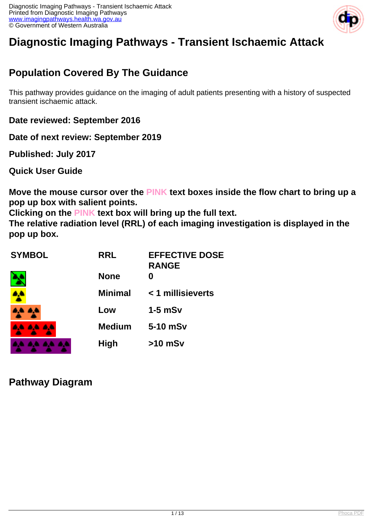

# **Diagnostic Imaging Pathways - Transient Ischaemic Attack**

## **Population Covered By The Guidance**

This pathway provides guidance on the imaging of adult patients presenting with a history of suspected transient ischaemic attack.

**Date reviewed: September 2016**

**Date of next review: September 2019**

**Published: July 2017** 

**Quick User Guide**

**Move the mouse cursor over the PINK text boxes inside the flow chart to bring up a pop up box with salient points.**

**Clicking on the PINK text box will bring up the full text.**

**The relative radiation level (RRL) of each imaging investigation is displayed in the pop up box.**

| <b>SYMBOL</b> | <b>RRL</b>     | <b>EFFECTIVE DOSE</b><br><b>RANGE</b> |
|---------------|----------------|---------------------------------------|
|               | <b>None</b>    | 0                                     |
|               | <b>Minimal</b> | < 1 millisieverts                     |
|               | Low            | $1-5$ mSv                             |
| .             | <b>Medium</b>  | 5-10 mSv                              |
|               | <b>High</b>    | $>10$ mSv                             |

**Pathway Diagram**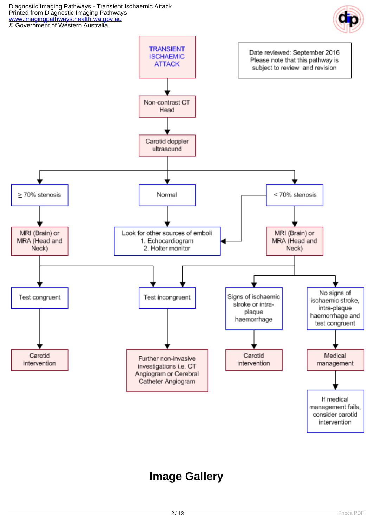Diagnostic Imaging Pathways - Transient Ischaemic Attack Printed from Diagnostic Imaging Pathways [www.imagingpathways.health.wa.gov.au](http://www.imagingpathways.health.wa.gov.au/) © Government of Western Australia





## **Image Gallery**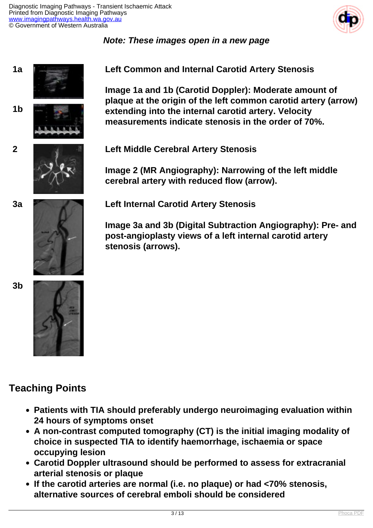

### **Note: These images open in a new page**







**1a Left Common and Internal Carotid Artery Stenosis**

**Image 1a and 1b (Carotid Doppler): Moderate amount of plaque at the origin of the left common carotid artery (arrow) extending into the internal carotid artery. Velocity measurements indicate stenosis in the order of 70%.**

**2 Left Middle Cerebral Artery Stenosis**

**Image 2 (MR Angiography): Narrowing of the left middle cerebral artery with reduced flow (arrow).**





**3a Left Internal Carotid Artery Stenosis**

**Image 3a and 3b (Digital Subtraction Angiography): Pre- and post-angioplasty views of a left internal carotid artery stenosis (arrows).**



## **Teaching Points**

- **Patients with TIA should preferably undergo neuroimaging evaluation within 24 hours of symptoms onset**
- **A non-contrast computed tomography (CT) is the initial imaging modality of choice in suspected TIA to identify haemorrhage, ischaemia or space occupying lesion**
- **Carotid Doppler ultrasound should be performed to assess for extracranial arterial stenosis or plaque**
- **If the carotid arteries are normal (i.e. no plaque) or had <70% stenosis, alternative sources of cerebral emboli should be considered**

**3b**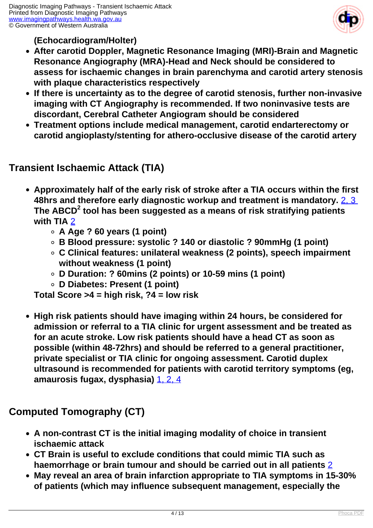

**(Echocardiogram/Holter)**

- **After carotid Doppler, Magnetic Resonance Imaging (MRI)-Brain and Magnetic Resonance Angiography (MRA)-Head and Neck should be considered to assess for ischaemic changes in brain parenchyma and carotid artery stenosis with plaque characteristics respectively**
- **If there is uncertainty as to the degree of carotid stenosis, further non-invasive imaging with CT Angiography is recommended. If two noninvasive tests are discordant, Cerebral Catheter Angiogram should be considered**
- **Treatment options include medical management, carotid endarterectomy or carotid angioplasty/stenting for athero-occlusive disease of the carotid artery**

## **Transient Ischaemic Attack (TIA)**

- **Approximately half of the early risk of stroke after a TIA occurs within the first 48hrs and therefore early diagnostic workup and treatment is mandatory.** [2, 3](index.php/imaging-pathways/neurological/transient-ischaemic-attacks?tab=References#2)  **The ABCD<sup>2</sup> tool has been suggested as a means of risk stratifying patients with TIA** [2](index.php/imaging-pathways/neurological/transient-ischaemic-attacks?tab=References#2)
	- **A Age ? 60 years (1 point)**
	- **B Blood pressure: systolic ? 140 or diastolic ? 90mmHg (1 point)**
	- **C Clinical features: unilateral weakness (2 points), speech impairment without weakness (1 point)**
	- **D Duration: ? 60mins (2 points) or 10-59 mins (1 point)**
	- **D Diabetes: Present (1 point)**

**Total Score >4 = high risk, ?4 = low risk**

**High risk patients should have imaging within 24 hours, be considered for admission or referral to a TIA clinic for urgent assessment and be treated as for an acute stroke. Low risk patients should have a head CT as soon as possible (within 48-72hrs) and should be referred to a general practitioner, private specialist or TIA clinic for ongoing assessment. Carotid duplex ultrasound is recommended for patients with carotid territory symptoms (eg, amaurosis fugax, dysphasia)** [1, 2, 4](index.php/imaging-pathways/neurological/transient-ischaemic-attacks?tab=References#1)

## **Computed Tomography (CT)**

- **A non-contrast CT is the initial imaging modality of choice in transient ischaemic attack**
- **CT Brain is useful to exclude conditions that could mimic TIA such as haemorrhage or brain tumour and should be carried out in all patients** [2](index.php/imaging-pathways/neurological/transient-ischaemic-attacks?tab=References#2)
- **May reveal an area of brain infarction appropriate to TIA symptoms in 15-30% of patients (which may influence subsequent management, especially the**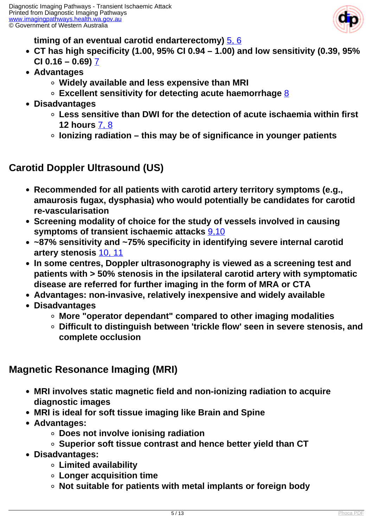

### **timing of an eventual carotid endarterectomy)** [5, 6](index.php/imaging-pathways/neurological/transient-ischaemic-attacks?tab=References#5)

- **CT has high specificity (1.00, 95% CI 0.94 1.00) and low sensitivity (0.39, 95% CI 0.16 – 0.69)** [7](index.php/imaging-pathways/neurological/transient-ischaemic-attacks?tab=References#7)
- **Advantages**
	- **Widely available and less expensive than MRI**
	- **Excellent sensitivity for detecting acute haemorrhage** [8](index.php/imaging-pathways/neurological/transient-ischaemic-attacks?tab=References#8)
- **Disadvantages**
	- **Less sensitive than DWI for the detection of acute ischaemia within first 12 hours** [7, 8](index.php/imaging-pathways/neurological/transient-ischaemic-attacks?tab=References#7)
	- **Ionizing radiation this may be of significance in younger patients**

## **Carotid Doppler Ultrasound (US)**

- **Recommended for all patients with carotid artery territory symptoms (e.g., amaurosis fugax, dysphasia) who would potentially be candidates for carotid re-vascularisation**
- **Screening modality of choice for the study of vessels involved in causing symptoms of transient ischaemic attacks** [9,10](index.php/imaging-pathways/neurological/transient-ischaemic-attacks?tab=References#9)
- **~87% sensitivity and ~75% specificity in identifying severe internal carotid artery stenosis** [10, 11](index.php/imaging-pathways/neurological/transient-ischaemic-attacks?tab=References#10)
- **In some centres, Doppler ultrasonography is viewed as a screening test and patients with > 50% stenosis in the ipsilateral carotid artery with symptomatic disease are referred for further imaging in the form of MRA or CTA**
- **Advantages: non-invasive, relatively inexpensive and widely available**
- **Disadvantages**
	- **More "operator dependant" compared to other imaging modalities**
	- **Difficult to distinguish between 'trickle flow' seen in severe stenosis, and complete occlusion**

## **Magnetic Resonance Imaging (MRI)**

- **MRI involves static magnetic field and non-ionizing radiation to acquire diagnostic images**
- **MRI is ideal for soft tissue imaging like Brain and Spine**
- **Advantages:**
	- **Does not involve ionising radiation**
	- **Superior soft tissue contrast and hence better yield than CT**
- **Disadvantages:**
	- **Limited availability**
	- **Longer acquisition time**
	- **Not suitable for patients with metal implants or foreign body**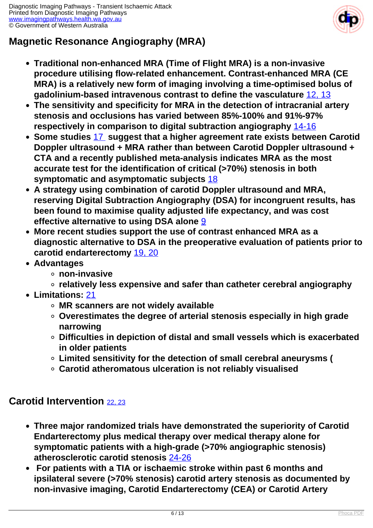

## **Magnetic Resonance Angiography (MRA)**

- **Traditional non-enhanced MRA (Time of Flight MRA) is a non-invasive procedure utilising flow-related enhancement. Contrast-enhanced MRA (CE MRA) is a relatively new form of imaging involving a time-optimised bolus of gadolinium-based intravenous contrast to define the vasculature** [12, 13](index.php/imaging-pathways/neurological/transient-ischaemic-attacks?tab=References#12)
- **The sensitivity and specificity for MRA in the detection of intracranial artery stenosis and occlusions has varied between 85%-100% and 91%-97% respectively in comparison to digital subtraction angiography** [14-16](index.php/imaging-pathways/neurological/transient-ischaemic-attacks?tab=References#14)
- **Some studies** [17](index.php/imaging-pathways/neurological/transient-ischaemic-attacks?tab=References#17) **suggest that a higher agreement rate exists between Carotid Doppler ultrasound + MRA rather than between Carotid Doppler ultrasound + CTA and a recently published meta-analysis indicates MRA as the most accurate test for the identification of critical (>70%) stenosis in both symptomatic and asymptomatic subjects** [18](index.php/imaging-pathways/neurological/transient-ischaemic-attacks?tab=References#18)
- **A strategy using combination of carotid Doppler ultrasound and MRA, reserving Digital Subtraction Angiography (DSA) for incongruent results, has been found to maximise quality adjusted life expectancy, and was cost effective alternative to using DSA alone** [9](index.php/imaging-pathways/neurological/transient-ischaemic-attacks?tab=References#9)
- **More recent studies support the use of contrast enhanced MRA as a diagnostic alternative to DSA in the preoperative evaluation of patients prior to carotid endarterectomy** [19, 20](index.php/imaging-pathways/neurological/transient-ischaemic-attacks?tab=References#19)
- **Advantages**
	- **non-invasive**
	- **relatively less expensive and safer than catheter cerebral angiography**
- **Limitations:** [21](index.php/imaging-pathways/neurological/transient-ischaemic-attacks?tab=References#21)
	- **MR scanners are not widely available**
	- **Overestimates the degree of arterial stenosis especially in high grade narrowing**
	- **Difficulties in depiction of distal and small vessels which is exacerbated in older patients**
	- **Limited sensitivity for the detection of small cerebral aneurysms (**
	- **Carotid atheromatous ulceration is not reliably visualised**

## **Carotid Intervention** [22, 23](index.php/imaging-pathways/neurological/transient-ischaemic-attacks?tab=References#22)

- **Three major randomized trials have demonstrated the superiority of Carotid Endarterectomy plus medical therapy over medical therapy alone for symptomatic patients with a high-grade (>70% angiographic stenosis) atherosclerotic carotid stenosis** [24-26](index.php/imaging-pathways/neurological/transient-ischaemic-attacks?tab=References#24)
- **For patients with a TIA or ischaemic stroke within past 6 months and ipsilateral severe (>70% stenosis) carotid artery stenosis as documented by non-invasive imaging, Carotid Endarterectomy (CEA) or Carotid Artery**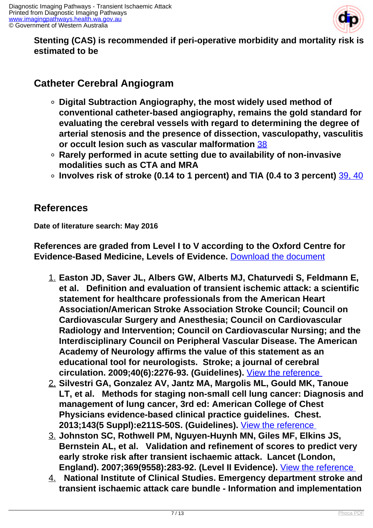

### **Stenting (CAS) is recommended if peri-operative morbidity and mortality risk is estimated to be**

## **Catheter Cerebral Angiogram**

- **Digital Subtraction Angiography, the most widely used method of conventional catheter-based angiography, remains the gold standard for evaluating the cerebral vessels with regard to determining the degree of arterial stenosis and the presence of dissection, vasculopathy, vasculitis or occult lesion such as vascular malformation** [38](index.php/imaging-pathways/neurological/transient-ischaemic-attacks?tab=References#38)
- **Rarely performed in acute setting due to availability of non-invasive modalities such as CTA and MRA**
- **Involves risk of stroke (0.14 to 1 percent) and TIA (0.4 to 3 percent)** [39, 40](index.php/imaging-pathways/neurological/transient-ischaemic-attacks?tab=References#39)

## **References**

**Date of literature search: May 2016**

**References are graded from Level I to V according to the Oxford Centre for Evidence-Based Medicine, Levels of Evidence.** [Download the document](http://www.cebm.net/wp-content/uploads/2014/06/CEBM-Levels-of-Evidence-2.1.pdf)

- 1. **Easton JD, Saver JL, Albers GW, Alberts MJ, Chaturvedi S, Feldmann E, et al. Definition and evaluation of transient ischemic attack: a scientific statement for healthcare professionals from the American Heart Association/American Stroke Association Stroke Council; Council on Cardiovascular Surgery and Anesthesia; Council on Cardiovascular Radiology and Intervention; Council on Cardiovascular Nursing; and the Interdisciplinary Council on Peripheral Vascular Disease. The American Academy of Neurology affirms the value of this statement as an educational tool for neurologists. Stroke; a journal of cerebral circulation. 2009;40(6):2276-93. (Guidelines).** [View the reference](https://www.ncbi.nlm.nih.gov/pubmed/19423857 )
- 2. **Silvestri GA, Gonzalez AV, Jantz MA, Margolis ML, Gould MK, Tanoue LT, et al. Methods for staging non-small cell lung cancer: Diagnosis and management of lung cancer, 3rd ed: American College of Chest Physicians evidence-based clinical practice guidelines. Chest. 2013;143(5 Suppl):e211S-50S. (Guidelines).** [View the reference](https://www.ncbi.nlm.nih.gov/pubmed/26002237 )
- 3. **Johnston SC, Rothwell PM, Nguyen-Huynh MN, Giles MF, Elkins JS, Bernstein AL, et al. Validation and refinement of scores to predict very early stroke risk after transient ischaemic attack. Lancet (London, England). 2007;369(9558):283-92. (Level II Evidence).** [View the reference](https://www.ncbi.nlm.nih.gov/pubmed/17258668 )
- 4. **National Institute of Clinical Studies. Emergency department stroke and transient ischaemic attack care bundle - Information and implementation**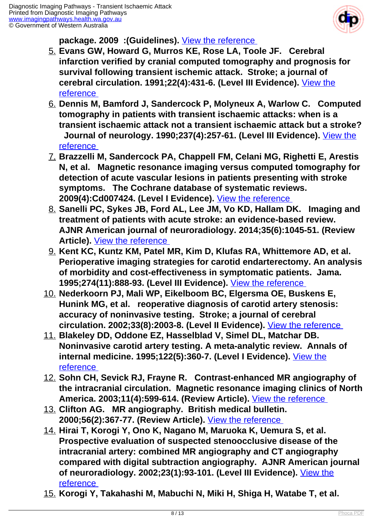

**package. 2009 :(Guidelines).** [View the reference](https://www.nhmrc.gov.au/_files_nhmrc/publications/attachments/cp116_2_care_bundle.pdf ) 

- 5. **Evans GW, Howard G, Murros KE, Rose LA, Toole JF. Cerebral infarction verified by cranial computed tomography and prognosis for survival following transient ischemic attack. Stroke; a journal of cerebral circulation. 1991;22(4):431-6. (Level III Evidence).** [View the](https://www.ncbi.nlm.nih.gov/pubmed/2024270 ) [reference](https://www.ncbi.nlm.nih.gov/pubmed/2024270 )
- 6. **Dennis M, Bamford J, Sandercock P, Molyneux A, Warlow C. Computed tomography in patients with transient ischaemic attacks: when is a transient ischaemic attack not a transient ischaemic attack but a stroke? Journal of neurology. 1990;237(4):257-61. (Level III Evidence).** [View the](https://www.ncbi.nlm.nih.gov/pubmed/2391549 ) [reference](https://www.ncbi.nlm.nih.gov/pubmed/2391549 )
- 7. **Brazzelli M, Sandercock PA, Chappell FM, Celani MG, Righetti E, Arestis N, et al. Magnetic resonance imaging versus computed tomography for detection of acute vascular lesions in patients presenting with stroke symptoms. The Cochrane database of systematic reviews. 2009(4):Cd007424. (Level I Evidence).** [View the reference](https://www.ncbi.nlm.nih.gov/pubmed/19821415 )
- 8. **Sanelli PC, Sykes JB, Ford AL, Lee JM, Vo KD, Hallam DK. Imaging and treatment of patients with acute stroke: an evidence-based review. AJNR American journal of neuroradiology. 2014;35(6):1045-51. (Review** Article). **View the reference**
- 9. **Kent KC, Kuntz KM, Patel MR, Kim D, Klufas RA, Whittemore AD, et al. Perioperative imaging strategies for carotid endarterectomy. An analysis of morbidity and cost-effectiveness in symptomatic patients. Jama. 1995;274(11):888-93. (Level III Evidence).** [View the reference](https://www.ncbi.nlm.nih.gov/pubmed/7674503 )
- 10. **Nederkoorn PJ, Mali WP, Eikelboom BC, Elgersma OE, Buskens E, Hunink MG, et al. reoperative diagnosis of carotid artery stenosis: accuracy of noninvasive testing. Stroke; a journal of cerebral circulation. 2002;33(8):2003-8. (Level II Evidence).** [View the reference](http://www.ncbi.nlm.nih.gov/pubmed/12154253 )
- 11. **Blakeley DD, Oddone EZ, Hasselblad V, Simel DL, Matchar DB. Noninvasive carotid artery testing. A meta-analytic review. Annals of internal medicine. 1995;122(5):360-7. (Level I Evidence).** [View the](http://www.ncbi.nlm.nih.gov/pubmed/7847648 ) [reference](http://www.ncbi.nlm.nih.gov/pubmed/7847648 )
- 12. **Sohn CH, Sevick RJ, Frayne R. Contrast-enhanced MR angiography of the intracranial circulation. Magnetic resonance imaging clinics of North America. 2003;11(4):599-614. (Review Article).** [View the reference](https://www.ncbi.nlm.nih.gov/pubmed/15018113 )
- 13. **Clifton AG. MR angiography. British medical bulletin. 2000;56(2):367-77. (Review Article).** [View the reference](https://academic.oup.com/bmb/article/56/2//303300/MR-angiography )
- 14. **Hirai T, Korogi Y, Ono K, Nagano M, Maruoka K, Uemura S, et al. Prospective evaluation of suspected stenoocclusive disease of the intracranial artery: combined MR angiography and CT angiography compared with digital subtraction angiography. AJNR American journal of neuroradiology. 2002;23(1):93-101. (Level III Evidence).** [View the](https://www.ncbi.nlm.nih.gov/pubmed/11827880 ) [reference](https://www.ncbi.nlm.nih.gov/pubmed/11827880 )
- 15. **Korogi Y, Takahashi M, Mabuchi N, Miki H, Shiga H, Watabe T, et al.**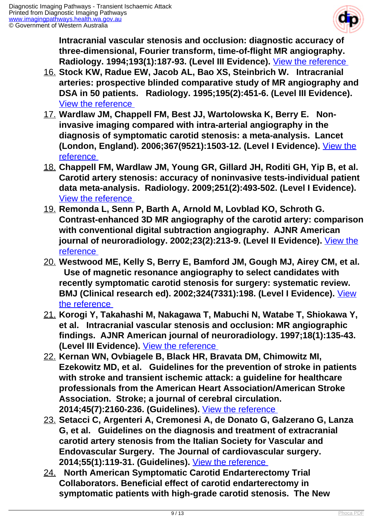

**Intracranial vascular stenosis and occlusion: diagnostic accuracy of three-dimensional, Fourier transform, time-of-flight MR angiography. Radiology. 1994;193(1):187-93. (Level III Evidence).** [View the reference](https://www.ncbi.nlm.nih.gov/pubmed/8090890 ) 

- 16. **Stock KW, Radue EW, Jacob AL, Bao XS, Steinbrich W. Intracranial arteries: prospective blinded comparative study of MR angiography and DSA in 50 patients. Radiology. 1995;195(2):451-6. (Level III Evidence).**  [View the reference](http://www.ncbi.nlm.nih.gov/pubmed/7724765 )
- 17. **Wardlaw JM, Chappell FM, Best JJ, Wartolowska K, Berry E. Noninvasive imaging compared with intra-arterial angiography in the diagnosis of symptomatic carotid stenosis: a meta-analysis. Lancet (London, England). 2006;367(9521):1503-12. (Level I Evidence).** [View the](https://www.ncbi.nlm.nih.gov/pubmed/16679163 ) [reference](https://www.ncbi.nlm.nih.gov/pubmed/16679163 )
- 18. **Chappell FM, Wardlaw JM, Young GR, Gillard JH, Roditi GH, Yip B, et al. Carotid artery stenosis: accuracy of noninvasive tests-individual patient data meta-analysis. Radiology. 2009;251(2):493-502. (Level I Evidence).**  [View the reference](https://www.ncbi.nlm.nih.gov/pubmed/19276319 )
- 19. **Remonda L, Senn P, Barth A, Arnold M, Lovblad KO, Schroth G. Contrast-enhanced 3D MR angiography of the carotid artery: comparison with conventional digital subtraction angiography. AJNR American journal of neuroradiology. 2002;23(2):213-9. (Level II Evidence).** [View the](https://www.ncbi.nlm.nih.gov/pubmed/11847044 ) [reference](https://www.ncbi.nlm.nih.gov/pubmed/11847044 )
- 20. **Westwood ME, Kelly S, Berry E, Bamford JM, Gough MJ, Airey CM, et al. Use of magnetic resonance angiography to select candidates with recently symptomatic carotid stenosis for surgery: systematic review. BMJ (Clinical research ed). 2002;324(7331):198. (Level I Evidence).** [View](https://www.ncbi.nlm.nih.gov/pubmed/11809640 ) [the reference](https://www.ncbi.nlm.nih.gov/pubmed/11809640 )
- 21. **Korogi Y, Takahashi M, Nakagawa T, Mabuchi N, Watabe T, Shiokawa Y, et al. Intracranial vascular stenosis and occlusion: MR angiographic findings. AJNR American journal of neuroradiology. 1997;18(1):135-43. (Level III Evidence).** [View the reference]( https://www.ncbi.nlm.nih.gov/pubmed/9010532 )
- 22. **Kernan WN, Ovbiagele B, Black HR, Bravata DM, Chimowitz MI, Ezekowitz MD, et al. Guidelines for the prevention of stroke in patients with stroke and transient ischemic attack: a guideline for healthcare professionals from the American Heart Association/American Stroke Association. Stroke; a journal of cerebral circulation. 2014;45(7):2160-236. (Guidelines).** [View the reference](https://www.ncbi.nlm.nih.gov/pubmed/24788967 )
- 23. **Setacci C, Argenteri A, Cremonesi A, de Donato G, Galzerano G, Lanza G, et al. Guidelines on the diagnosis and treatment of extracranial carotid artery stenosis from the Italian Society for Vascular and Endovascular Surgery. The Journal of cardiovascular surgery. 2014;55(1):119-31. (Guidelines).** [View the reference](https://www.ncbi.nlm.nih.gov/pubmed/24356054 )
- 24. **North American Symptomatic Carotid Endarterectomy Trial Collaborators. Beneficial effect of carotid endarterectomy in symptomatic patients with high-grade carotid stenosis. The New**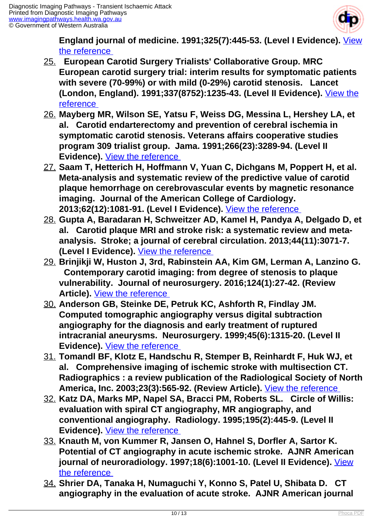

**England journal of medicine. 1991;325(7):445-53. (Level I Evidence).** [View](https://www.ncbi.nlm.nih.gov/pubmed/1852179 ) [the reference](https://www.ncbi.nlm.nih.gov/pubmed/1852179 ) 

- 25. **European Carotid Surgery Trialists' Collaborative Group. MRC European carotid surgery trial: interim results for symptomatic patients with severe (70-99%) or with mild (0-29%) carotid stenosis. Lancet (London, England). 1991;337(8752):1235-43. (Level II Evidence).** [View the](https://www.ncbi.nlm.nih.gov/pubmed/1674060 ) [reference](https://www.ncbi.nlm.nih.gov/pubmed/1674060 )
- 26. **Mayberg MR, Wilson SE, Yatsu F, Weiss DG, Messina L, Hershey LA, et al. Carotid endarterectomy and prevention of cerebral ischemia in symptomatic carotid stenosis. Veterans affairs cooperative studies program 309 trialist group. Jama. 1991;266(23):3289-94. (Level II Evidence).** <u>View the reference</u>
- 27. **Saam T, Hetterich H, Hoffmann V, Yuan C, Dichgans M, Poppert H, et al. Meta-analysis and systematic review of the predictive value of carotid plaque hemorrhage on cerebrovascular events by magnetic resonance imaging. Journal of the American College of Cardiology. 2013;62(12):1081-91. (Level I Evidence).** [View the reference](https://www.ncbi.nlm.nih.gov/labs/articles/23850912 )
- 28. **Gupta A, Baradaran H, Schweitzer AD, Kamel H, Pandya A, Delgado D, et al. Carotid plaque MRI and stroke risk: a systematic review and metaanalysis. Stroke; a journal of cerebral circulation. 2013;44(11):3071-7. (Level I Evidence).** [View the reference](https://www.ncbi.nlm.nih.gov/pubmed/23988640 )
- 29. **Brinjikji W, Huston J, 3rd, Rabinstein AA, Kim GM, Lerman A, Lanzino G. Contemporary carotid imaging: from degree of stenosis to plaque vulnerability. Journal of neurosurgery. 2016;124(1):27-42. (Review Article).** [View the reference](https://www.ncbi.nlm.nih.gov/pubmed/26230478 )
- 30. **Anderson GB, Steinke DE, Petruk KC, Ashforth R, Findlay JM. Computed tomographic angiography versus digital subtraction angiography for the diagnosis and early treatment of ruptured intracranial aneurysms. Neurosurgery. 1999;45(6):1315-20. (Level II Evidence).** [View the reference](https://www.ncbi.nlm.nih.gov/pubmed/10598698 )
- 31. **Tomandl BF, Klotz E, Handschu R, Stemper B, Reinhardt F, Huk WJ, et al. Comprehensive imaging of ischemic stroke with multisection CT. Radiographics : a review publication of the Radiological Society of North America, Inc. 2003;23(3):565-92. (Review Article).** [View the reference](https://www.ncbi.nlm.nih.gov/pubmed/12740462 )
- 32. **Katz DA, Marks MP, Napel SA, Bracci PM, Roberts SL. Circle of Willis: evaluation with spiral CT angiography, MR angiography, and conventional angiography. Radiology. 1995;195(2):445-9. (Level II Evidence).** [View the reference](http://www.ncbi.nlm.nih.gov/pubmed/7724764 )
- 33. **Knauth M, von Kummer R, Jansen O, Hahnel S, Dorfler A, Sartor K. Potential of CT angiography in acute ischemic stroke. AJNR American journal of neuroradiology. 1997;18(6):1001-10. (Level II Evidence).** [View](https://www.ncbi.nlm.nih.gov/pubmed/9194425 ) [the reference](https://www.ncbi.nlm.nih.gov/pubmed/9194425 )
- 34. **Shrier DA, Tanaka H, Numaguchi Y, Konno S, Patel U, Shibata D. CT angiography in the evaluation of acute stroke. AJNR American journal**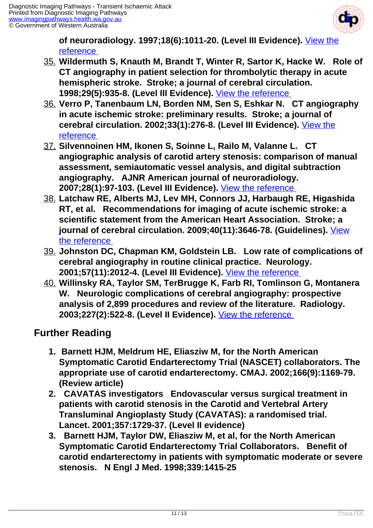

**of neuroradiology. 1997;18(6):1011-20. (Level III Evidence).** [View the](https://www.ncbi.nlm.nih.gov/pubmed/9194426 ) [reference](https://www.ncbi.nlm.nih.gov/pubmed/9194426 ) 

- 35. **Wildermuth S, Knauth M, Brandt T, Winter R, Sartor K, Hacke W. Role of CT angiography in patient selection for thrombolytic therapy in acute hemispheric stroke. Stroke; a journal of cerebral circulation. 1998;29(5):935-8. (Level III Evidence).** [View the reference](http://www.ncbi.nlm.nih.gov/pubmed/9596238 )
- 36. **Verro P, Tanenbaum LN, Borden NM, Sen S, Eshkar N. CT angiography in acute ischemic stroke: preliminary results. Stroke; a journal of cerebral circulation. 2002;33(1):276-8. (Level III Evidence).** [View the](http://www.ncbi.nlm.nih.gov/pubmed/11779922 ) [reference](http://www.ncbi.nlm.nih.gov/pubmed/11779922 )
- 37. **Silvennoinen HM, Ikonen S, Soinne L, Railo M, Valanne L. CT angiographic analysis of carotid artery stenosis: comparison of manual assessment, semiautomatic vessel analysis, and digital subtraction angiography. AJNR American journal of neuroradiology. 2007;28(1):97-103. (Level III Evidence).** [View the reference](https://www.ncbi.nlm.nih.gov/pubmed/17213433 )
- 38. **Latchaw RE, Alberts MJ, Lev MH, Connors JJ, Harbaugh RE, Higashida RT, et al. Recommendations for imaging of acute ischemic stroke: a scientific statement from the American Heart Association. Stroke; a journal of cerebral circulation. 2009;40(11):3646-78. (Guidelines).** [View](https://www.ncbi.nlm.nih.gov/pubmed/19797189 ) [the reference](https://www.ncbi.nlm.nih.gov/pubmed/19797189 )
- 39. **Johnston DC, Chapman KM, Goldstein LB. Low rate of complications of cerebral angiography in routine clinical practice. Neurology. 2001;57(11):2012-4. (Level III Evidence).** [View the reference](http://www.ncbi.nlm.nih.gov/pubmed/11739818 )
- 40. **Willinsky RA, Taylor SM, TerBrugge K, Farb RI, Tomlinson G, Montanera W. Neurologic complications of cerebral angiography: prospective analysis of 2,899 procedures and review of the literature. Radiology. 2003;227(2):522-8. (Level II Evidence).** [View the reference](http://www.ncbi.nlm.nih.gov/pubmed/12637677 )

## **Further Reading**

- **1. Barnett HJM, Meldrum HE, Eliasziw M, for the North American Symptomatic Carotid Endarterectomy Trial (NASCET) collaborators. The appropriate use of carotid endarterectomy. CMAJ. 2002;166(9):1169-79. (Review article)**
- **2. CAVATAS investigators Endovascular versus surgical treatment in patients with carotid stenosis in the Carotid and Vertebral Artery Transluminal Angioplasty Study (CAVATAS): a randomised trial. Lancet. 2001;357:1729-37. (Level II evidence)**
- **3. Barnett HJM, Taylor DW, Eliasziw M, et al, for the North American Symptomatic Carotid Endarterectomy Trial Collaborators. Benefit of carotid endarterectomy in patients with symptomatic moderate or severe stenosis. N Engl J Med. 1998;339:1415-25**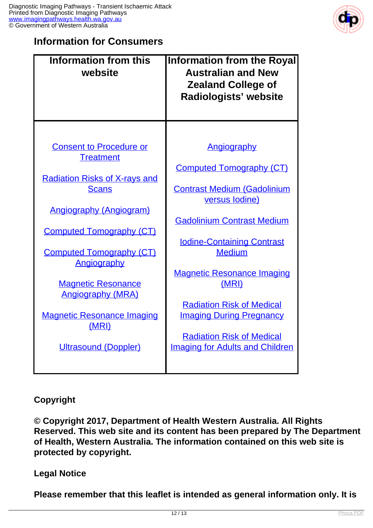

### **Information for Consumers**

| <b>Information from this</b><br>website               | <b>Information from the Royal</b><br><b>Australian and New</b><br><b>Zealand College of</b><br>Radiologists' website |
|-------------------------------------------------------|----------------------------------------------------------------------------------------------------------------------|
|                                                       |                                                                                                                      |
| <b>Consent to Procedure or</b><br><b>Treatment</b>    | <b>Angiography</b>                                                                                                   |
| <b>Radiation Risks of X-rays and</b>                  | <b>Computed Tomography (CT)</b>                                                                                      |
| <b>Scans</b>                                          | <b>Contrast Medium (Gadolinium</b><br>versus lodine)                                                                 |
| <b>Angiography (Angiogram)</b>                        |                                                                                                                      |
| <b>Computed Tomography (CT)</b>                       | <b>Gadolinium Contrast Medium</b><br><b>Iodine-Containing Contrast</b>                                               |
| <b>Computed Tomography (CT)</b><br>Angiography        | <b>Medium</b>                                                                                                        |
| <b>Magnetic Resonance</b><br><b>Angiography (MRA)</b> | <b>Magnetic Resonance Imaging</b><br>(MRI)                                                                           |
| <b>Magnetic Resonance Imaging</b><br>(MRI)            | <b>Radiation Risk of Medical</b><br><b>Imaging During Pregnancy</b>                                                  |
| <b>Ultrasound (Doppler)</b>                           | <b>Radiation Risk of Medical</b><br><b>Imaging for Adults and Children</b>                                           |
|                                                       |                                                                                                                      |

### **Copyright**

**© Copyright 2017, Department of Health Western Australia. All Rights Reserved. This web site and its content has been prepared by The Department of Health, Western Australia. The information contained on this web site is protected by copyright.**

#### **Legal Notice**

**Please remember that this leaflet is intended as general information only. It is**